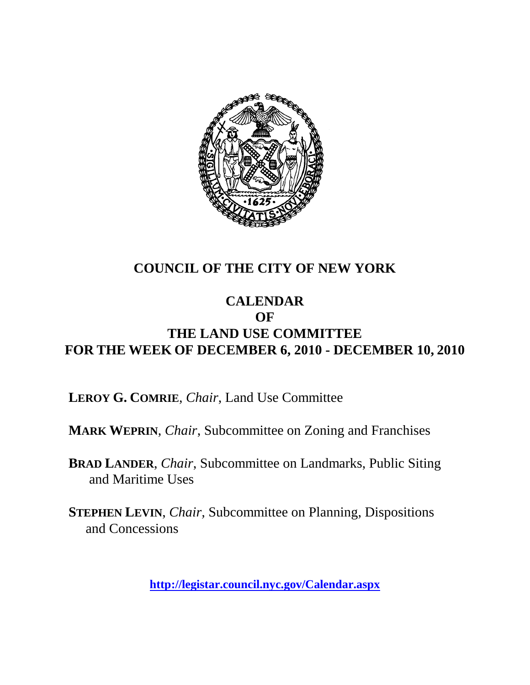

# **COUNCIL OF THE CITY OF NEW YORK**

### **CALENDAR OF THE LAND USE COMMITTEE FOR THE WEEK OF DECEMBER 6, 2010 - DECEMBER 10, 2010**

**LEROY G. COMRIE**, *Chair*, Land Use Committee

**MARK WEPRIN**, *Chair*, Subcommittee on Zoning and Franchises

**BRAD LANDER**, *Chair*, Subcommittee on Landmarks, Public Siting and Maritime Uses

**STEPHEN LEVIN**, *Chair,* Subcommittee on Planning, Dispositions and Concessions

**<http://legistar.council.nyc.gov/Calendar.aspx>**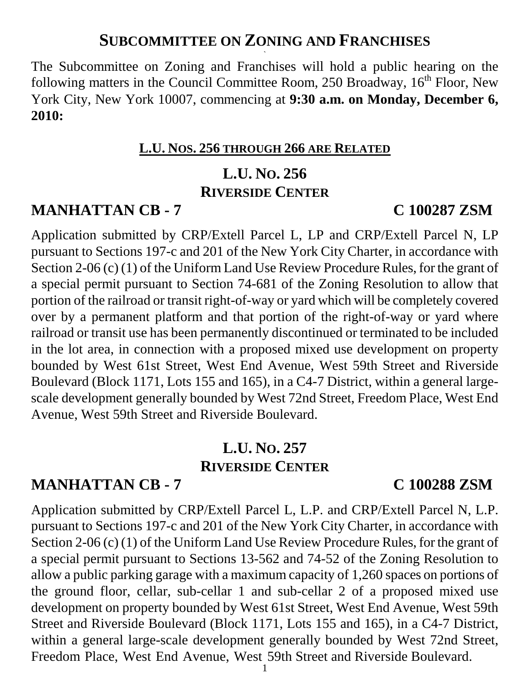### **SUBCOMMITTEE ON ZONING AND FRANCHISES `**

The Subcommittee on Zoning and Franchises will hold a public hearing on the following matters in the Council Committee Room, 250 Broadway,  $16<sup>th</sup>$  Floor, New York City, New York 10007, commencing at **9:30 a.m. on Monday, December 6, 2010:**

### **L.U. NOS. 256 THROUGH 266 ARE RELATED**

# **L.U. NO. 256 RIVERSIDE CENTER**

# **MANHATTAN CB - 7 C 100287 ZSM**

Application submitted by CRP/Extell Parcel L, LP and CRP/Extell Parcel N, LP pursuant to Sections 197-c and 201 of the New York City Charter, in accordance with Section 2-06 (c) (1) of the Uniform Land Use Review Procedure Rules, for the grant of a special permit pursuant to Section 74-681 of the Zoning Resolution to allow that portion of the railroad or transit right-of-way or yard which will be completely covered over by a permanent platform and that portion of the right-of-way or yard where railroad or transit use has been permanently discontinued or terminated to be included in the lot area, in connection with a proposed mixed use development on property bounded by West 61st Street, West End Avenue, West 59th Street and Riverside Boulevard (Block 1171, Lots 155 and 165), in a C4-7 District, within a general largescale development generally bounded by West 72nd Street, Freedom Place, West End Avenue, West 59th Street and Riverside Boulevard.

# **L.U. NO. 257 RIVERSIDE CENTER**

# **MANHATTAN CB - 7 C 100288 ZSM**

Application submitted by CRP/Extell Parcel L, L.P. and CRP/Extell Parcel N, L.P. pursuant to Sections 197-c and 201 of the New York City Charter, in accordance with Section 2-06 (c) (1) of the Uniform Land Use Review Procedure Rules, for the grant of a special permit pursuant to Sections 13-562 and 74-52 of the Zoning Resolution to allow a public parking garage with a maximum capacity of 1,260 spaces on portions of the ground floor, cellar, sub-cellar 1 and sub-cellar 2 of a proposed mixed use development on property bounded by West 61st Street, West End Avenue, West 59th Street and Riverside Boulevard (Block 1171, Lots 155 and 165), in a C4-7 District, within a general large-scale development generally bounded by West 72nd Street, Freedom Place, West End Avenue, West 59th Street and Riverside Boulevard.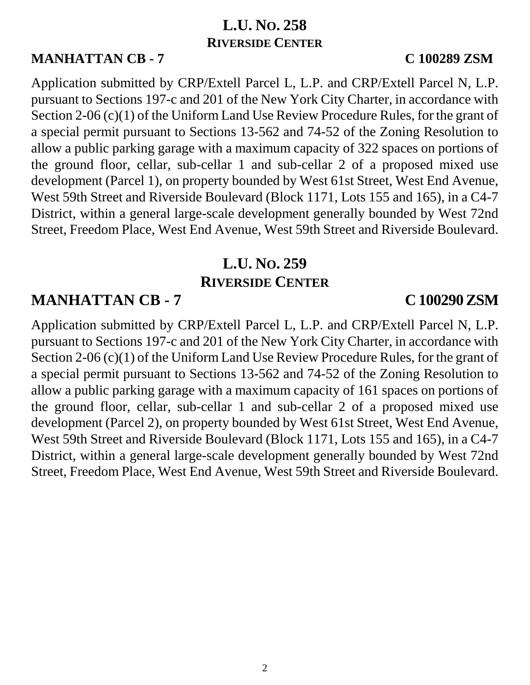# **L.U. NO. 258 RIVERSIDE CENTER**

### **MANHATTAN CB - 7 C 100289 ZSM**

Application submitted by CRP/Extell Parcel L, L.P. and CRP/Extell Parcel N, L.P. pursuant to Sections 197-c and 201 of the New York City Charter, in accordance with Section 2-06 (c)(1) of the Uniform Land Use Review Procedure Rules, for the grant of a special permit pursuant to Sections 13-562 and 74-52 of the Zoning Resolution to allow a public parking garage with a maximum capacity of 322 spaces on portions of the ground floor, cellar, sub-cellar 1 and sub-cellar 2 of a proposed mixed use development (Parcel 1), on property bounded by West 61st Street, West End Avenue, West 59th Street and Riverside Boulevard (Block 1171, Lots 155 and 165), in a C4-7 District, within a general large-scale development generally bounded by West 72nd Street, Freedom Place, West End Avenue, West 59th Street and Riverside Boulevard.

# **L.U. NO. 259 RIVERSIDE CENTER**

# **MANHATTAN CB - 7 C 100290 ZSM**

Application submitted by CRP/Extell Parcel L, L.P. and CRP/Extell Parcel N, L.P. pursuant to Sections 197-c and 201 of the New York City Charter, in accordance with Section 2-06 (c)(1) of the Uniform Land Use Review Procedure Rules, for the grant of a special permit pursuant to Sections 13-562 and 74-52 of the Zoning Resolution to allow a public parking garage with a maximum capacity of 161 spaces on portions of the ground floor, cellar, sub-cellar 1 and sub-cellar 2 of a proposed mixed use development (Parcel 2), on property bounded by West 61st Street, West End Avenue, West 59th Street and Riverside Boulevard (Block 1171, Lots 155 and 165), in a C4-7 District, within a general large-scale development generally bounded by West 72nd Street, Freedom Place, West End Avenue, West 59th Street and Riverside Boulevard.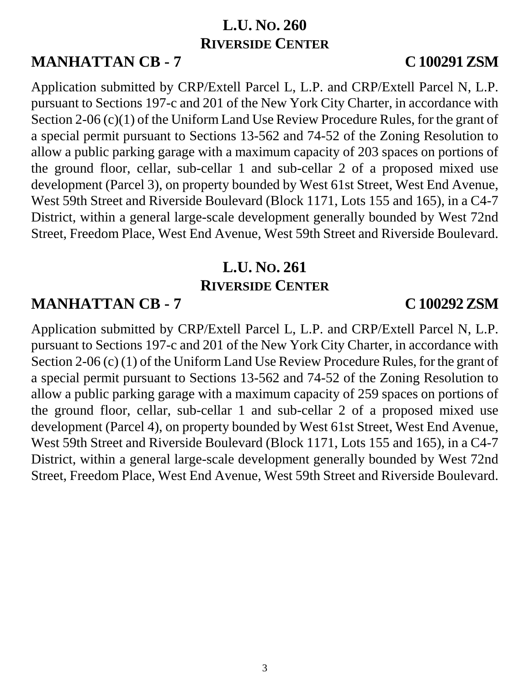# **L.U. NO. 260 RIVERSIDE CENTER**

**MANHATTAN CB - 7 C 100291 ZSM**

Application submitted by CRP/Extell Parcel L, L.P. and CRP/Extell Parcel N, L.P. pursuant to Sections 197-c and 201 of the New York City Charter, in accordance with Section 2-06 (c)(1) of the Uniform Land Use Review Procedure Rules, for the grant of a special permit pursuant to Sections 13-562 and 74-52 of the Zoning Resolution to allow a public parking garage with a maximum capacity of 203 spaces on portions of the ground floor, cellar, sub-cellar 1 and sub-cellar 2 of a proposed mixed use development (Parcel 3), on property bounded by West 61st Street, West End Avenue, West 59th Street and Riverside Boulevard (Block 1171, Lots 155 and 165), in a C4-7 District, within a general large-scale development generally bounded by West 72nd Street, Freedom Place, West End Avenue, West 59th Street and Riverside Boulevard.

# **L.U. NO. 261 RIVERSIDE CENTER**

# **MANHATTAN CB - 7 C 100292 ZSM**

Application submitted by CRP/Extell Parcel L, L.P. and CRP/Extell Parcel N, L.P. pursuant to Sections 197-c and 201 of the New York City Charter, in accordance with Section 2-06 (c) (1) of the Uniform Land Use Review Procedure Rules, for the grant of a special permit pursuant to Sections 13-562 and 74-52 of the Zoning Resolution to allow a public parking garage with a maximum capacity of 259 spaces on portions of the ground floor, cellar, sub-cellar 1 and sub-cellar 2 of a proposed mixed use development (Parcel 4), on property bounded by West 61st Street, West End Avenue, West 59th Street and Riverside Boulevard (Block 1171, Lots 155 and 165), in a C4-7 District, within a general large-scale development generally bounded by West 72nd Street, Freedom Place, West End Avenue, West 59th Street and Riverside Boulevard.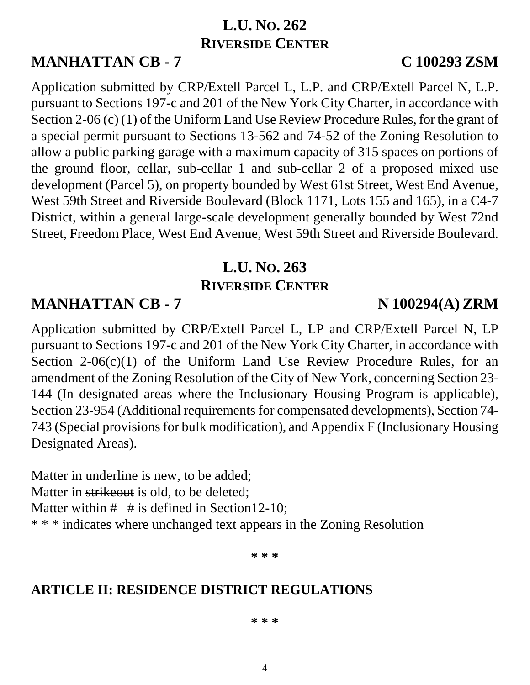# **L.U. NO. 262 RIVERSIDE CENTER**

**MANHATTAN CB - 7 C 100293 ZSM**

Application submitted by CRP/Extell Parcel L, L.P. and CRP/Extell Parcel N, L.P. pursuant to Sections 197-c and 201 of the New York City Charter, in accordance with Section 2-06 (c) (1) of the Uniform Land Use Review Procedure Rules, for the grant of a special permit pursuant to Sections 13-562 and 74-52 of the Zoning Resolution to allow a public parking garage with a maximum capacity of 315 spaces on portions of the ground floor, cellar, sub-cellar 1 and sub-cellar 2 of a proposed mixed use development (Parcel 5), on property bounded by West 61st Street, West End Avenue, West 59th Street and Riverside Boulevard (Block 1171, Lots 155 and 165), in a C4-7 District, within a general large-scale development generally bounded by West 72nd Street, Freedom Place, West End Avenue, West 59th Street and Riverside Boulevard.

# **L.U. NO. 263 RIVERSIDE CENTER**

# **MANHATTAN CB - 7 N 100294(A) ZRM**

Application submitted by CRP/Extell Parcel L, LP and CRP/Extell Parcel N, LP pursuant to Sections 197-c and 201 of the New York City Charter, in accordance with Section  $2\n-06(c)(1)$  of the Uniform Land Use Review Procedure Rules, for an amendment of the Zoning Resolution of the City of New York, concerning Section 23- 144 (In designated areas where the Inclusionary Housing Program is applicable), Section 23-954 (Additional requirements for compensated developments), Section 74- 743 (Special provisions for bulk modification), and Appendix F (Inclusionary Housing Designated Areas).

Matter in underline is new, to be added; Matter in strikeout is old, to be deleted: Matter within  $#$  # is defined in Section 12-10; \* \* \* indicates where unchanged text appears in the Zoning Resolution

**\* \* \***

# **ARTICLE II: RESIDENCE DISTRICT REGULATIONS**

### **\* \* \***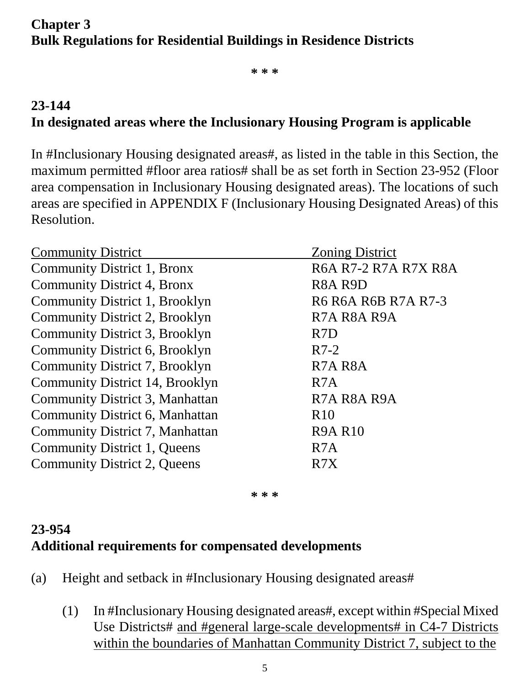# **Chapter 3 Bulk Regulations for Residential Buildings in Residence Districts**

**\* \* \***

# **23-144 In designated areas where the Inclusionary Housing Program is applicable**

In #Inclusionary Housing designated areas#, as listed in the table in this Section, the maximum permitted #floor area ratios# shall be as set forth in Section 23-952 (Floor area compensation in Inclusionary Housing designated areas). The locations of such areas are specified in APPENDIX F (Inclusionary Housing Designated Areas) of this Resolution.

| <b>Community District</b>           | <b>Zoning District</b>            |  |
|-------------------------------------|-----------------------------------|--|
| Community District 1, Bronx         | R6A R7-2 R7A R7X R8A              |  |
| Community District 4, Bronx         | R <sub>8</sub> A R <sub>9</sub> D |  |
| Community District 1, Brooklyn      | R6 R6A R6B R7A R7-3               |  |
| Community District 2, Brooklyn      | R7A R8A R9A                       |  |
| Community District 3, Brooklyn      | R <sub>7</sub> D                  |  |
| Community District 6, Brooklyn      | $R7-2$                            |  |
| Community District 7, Brooklyn      | R <sub>7</sub> A <sub>R8</sub> A  |  |
| Community District 14, Brooklyn     | R <sub>7</sub> A                  |  |
| Community District 3, Manhattan     | R7A R8A R9A                       |  |
| Community District 6, Manhattan     | R <sub>10</sub>                   |  |
| Community District 7, Manhattan     | <b>R9A R10</b>                    |  |
| Community District 1, Queens        | R <sub>7</sub> A                  |  |
| <b>Community District 2, Queens</b> | R7X                               |  |

**\* \* \***

# **23-954 Additional requirements for compensated developments**

- (a) Height and setback in #Inclusionary Housing designated areas#
	- (1) In #Inclusionary Housing designated areas#, except within #Special Mixed Use Districts# and #general large-scale developments# in C4-7 Districts within the boundaries of Manhattan Community District 7, subject to the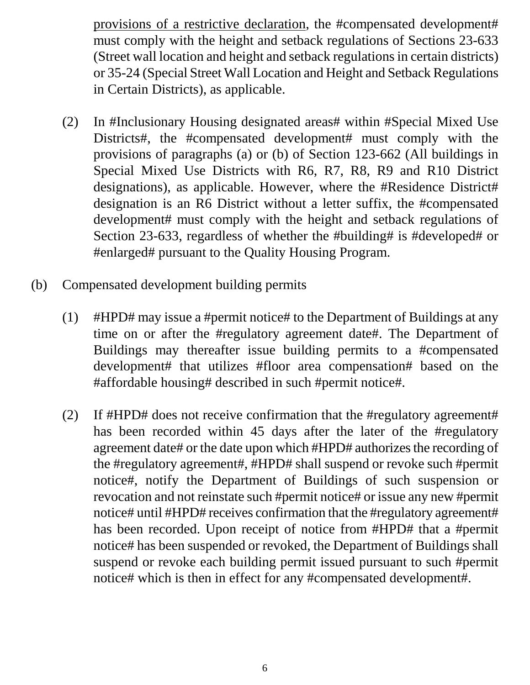provisions of a restrictive declaration, the #compensated development# must comply with the height and setback regulations of Sections 23-633 (Street wall location and height and setback regulations in certain districts) or 35-24 (Special Street Wall Location and Height and Setback Regulations in Certain Districts), as applicable.

- (2) In #Inclusionary Housing designated areas# within #Special Mixed Use Districts#, the #compensated development# must comply with the provisions of paragraphs (a) or (b) of Section 123-662 (All buildings in Special Mixed Use Districts with R6, R7, R8, R9 and R10 District designations), as applicable. However, where the #Residence District# designation is an R6 District without a letter suffix, the #compensated development# must comply with the height and setback regulations of Section 23-633, regardless of whether the #building# is #developed# or #enlarged# pursuant to the Quality Housing Program.
- (b) Compensated development building permits
	- (1) #HPD# may issue a #permit notice# to the Department of Buildings at any time on or after the #regulatory agreement date#. The Department of Buildings may thereafter issue building permits to a #compensated development# that utilizes #floor area compensation# based on the #affordable housing# described in such #permit notice#.
	- (2) If #HPD# does not receive confirmation that the #regulatory agreement# has been recorded within 45 days after the later of the #regulatory agreement date# or the date upon which #HPD# authorizes the recording of the #regulatory agreement#, #HPD# shall suspend or revoke such #permit notice#, notify the Department of Buildings of such suspension or revocation and not reinstate such #permit notice# or issue any new #permit notice# until #HPD# receives confirmation that the #regulatory agreement# has been recorded. Upon receipt of notice from #HPD# that a #permit notice# has been suspended or revoked, the Department of Buildings shall suspend or revoke each building permit issued pursuant to such #permit notice# which is then in effect for any #compensated development#.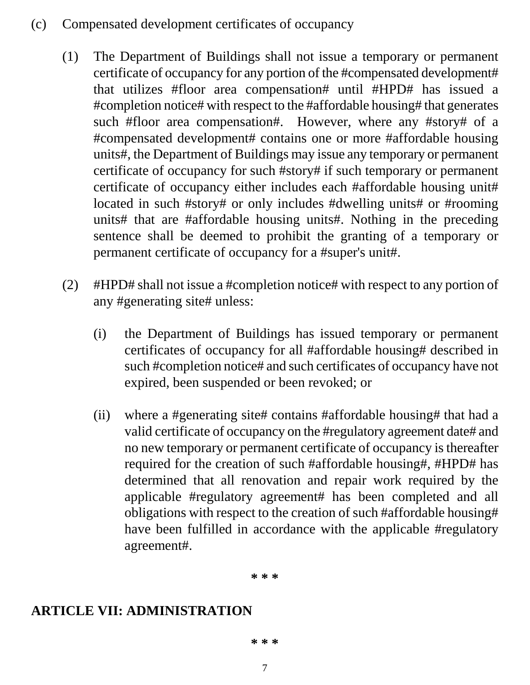- (c) Compensated development certificates of occupancy
	- (1) The Department of Buildings shall not issue a temporary or permanent certificate of occupancy for any portion of the #compensated development# that utilizes #floor area compensation# until #HPD# has issued a #completion notice# with respect to the #affordable housing# that generates such #floor area compensation#. However, where any #story# of a #compensated development# contains one or more #affordable housing units#, the Department of Buildings may issue any temporary or permanent certificate of occupancy for such #story# if such temporary or permanent certificate of occupancy either includes each #affordable housing unit# located in such #story# or only includes #dwelling units# or #rooming units# that are #affordable housing units#. Nothing in the preceding sentence shall be deemed to prohibit the granting of a temporary or permanent certificate of occupancy for a #super's unit#.
	- (2) #HPD# shall not issue a #completion notice# with respect to any portion of any #generating site# unless:
		- (i) the Department of Buildings has issued temporary or permanent certificates of occupancy for all #affordable housing# described in such #completion notice# and such certificates of occupancy have not expired, been suspended or been revoked; or
		- (ii) where a #generating site# contains #affordable housing# that had a valid certificate of occupancy on the #regulatory agreement date# and no new temporary or permanent certificate of occupancy is thereafter required for the creation of such #affordable housing#, #HPD# has determined that all renovation and repair work required by the applicable #regulatory agreement# has been completed and all obligations with respect to the creation of such #affordable housing# have been fulfilled in accordance with the applicable #regulatory agreement#.

**\* \* \***

# **ARTICLE VII: ADMINISTRATION**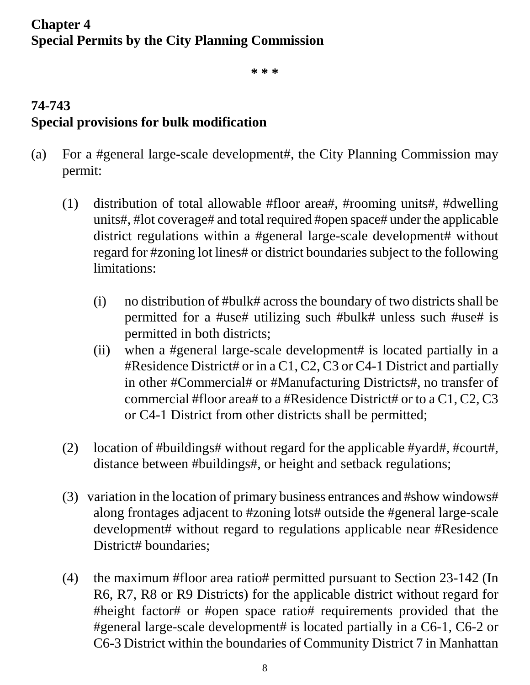# **Chapter 4 Special Permits by the City Planning Commission**

**\* \* \***

# **74-743 Special provisions for bulk modification**

- (a) For a #general large-scale development#, the City Planning Commission may permit:
	- (1) distribution of total allowable #floor area#, #rooming units#, #dwelling units#, #lot coverage# and total required #open space# under the applicable district regulations within a #general large-scale development# without regard for #zoning lot lines# or district boundaries subject to the following limitations:
		- (i) no distribution of #bulk# across the boundary of two districts shall be permitted for a #use# utilizing such #bulk# unless such #use# is permitted in both districts;
		- (ii) when a #general large-scale development# is located partially in a #Residence District# or in a C1, C2, C3 or C4-1 District and partially in other #Commercial# or #Manufacturing Districts#, no transfer of commercial #floor area# to a #Residence District# or to a C1, C2, C3 or C4-1 District from other districts shall be permitted;
	- (2) location of #buildings# without regard for the applicable #yard#, #court#, distance between #buildings#, or height and setback regulations;
	- (3) variation in the location of primary business entrances and #show windows# along frontages adjacent to #zoning lots# outside the #general large-scale development# without regard to regulations applicable near #Residence District# boundaries:
	- (4) the maximum #floor area ratio# permitted pursuant to Section 23-142 (In R6, R7, R8 or R9 Districts) for the applicable district without regard for #height factor# or #open space ratio# requirements provided that the #general large-scale development# is located partially in a C6-1, C6-2 or C6-3 District within the boundaries of Community District 7 in Manhattan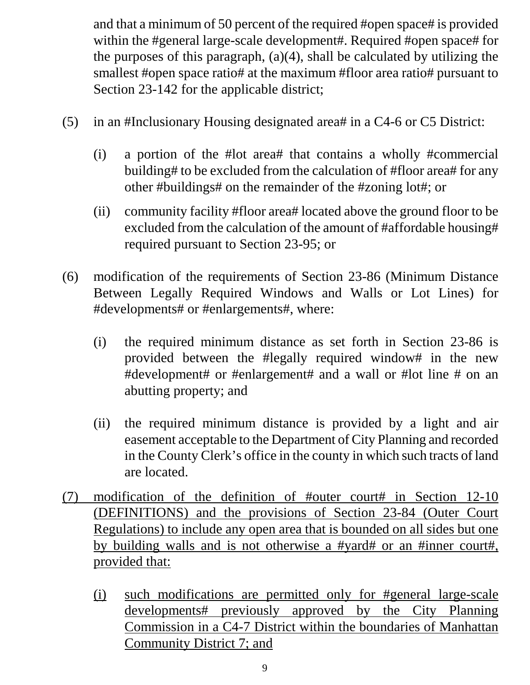and that a minimum of 50 percent of the required #open space# is provided within the #general large-scale development#. Required #open space# for the purposes of this paragraph,  $(a)(4)$ , shall be calculated by utilizing the smallest #open space ratio# at the maximum #floor area ratio# pursuant to Section 23-142 for the applicable district;

- (5) in an #Inclusionary Housing designated area# in a C4-6 or C5 District:
	- (i) a portion of the #lot area# that contains a wholly #commercial building# to be excluded from the calculation of #floor area# for any other #buildings# on the remainder of the #zoning lot#; or
	- (ii) community facility #floor area# located above the ground floor to be excluded from the calculation of the amount of #affordable housing# required pursuant to Section 23-95; or
- (6) modification of the requirements of Section 23-86 (Minimum Distance Between Legally Required Windows and Walls or Lot Lines) for #developments# or #enlargements#, where:
	- (i) the required minimum distance as set forth in Section 23-86 is provided between the #legally required window# in the new #development# or #enlargement# and a wall or #lot line # on an abutting property; and
	- (ii) the required minimum distance is provided by a light and air easement acceptable to the Department of City Planning and recorded in the County Clerk's office in the county in which such tracts of land are located.
- (7) modification of the definition of #outer court# in Section 12-10 (DEFINITIONS) and the provisions of Section 23-84 (Outer Court Regulations) to include any open area that is bounded on all sides but one by building walls and is not otherwise a #yard# or an #inner court#, provided that:
	- (i) such modifications are permitted only for #general large-scale developments# previously approved by the City Planning Commission in a C4-7 District within the boundaries of Manhattan Community District 7; and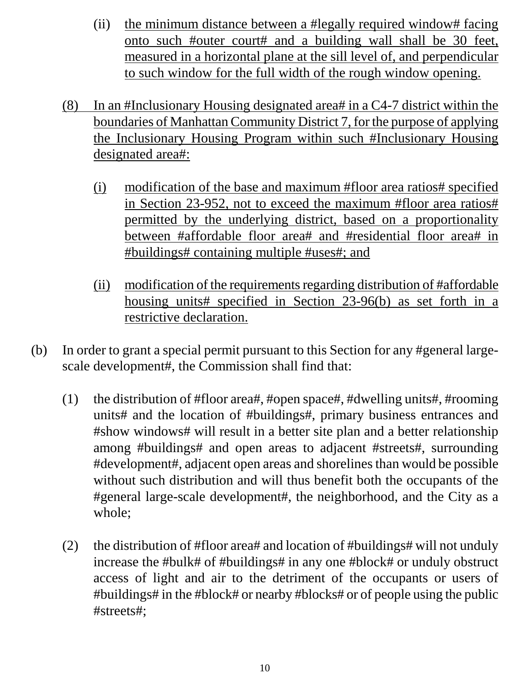- (ii) the minimum distance between a #legally required window# facing onto such #outer court# and a building wall shall be 30 feet, measured in a horizontal plane at the sill level of, and perpendicular to such window for the full width of the rough window opening.
- (8) In an #Inclusionary Housing designated area# in a C4-7 district within the boundaries of Manhattan Community District 7, for the purpose of applying the Inclusionary Housing Program within such #Inclusionary Housing designated area#:
	- (i) modification of the base and maximum #floor area ratios# specified in Section 23-952, not to exceed the maximum #floor area ratios# permitted by the underlying district, based on a proportionality between #affordable floor area# and #residential floor area# in #buildings# containing multiple #uses#; and
	- (ii) modification of the requirements regarding distribution of #affordable housing units# specified in Section 23-96(b) as set forth in a restrictive declaration.
- (b) In order to grant a special permit pursuant to this Section for any #general largescale development#, the Commission shall find that:
	- (1) the distribution of #floor area#, #open space#, #dwelling units#, #rooming units# and the location of #buildings#, primary business entrances and #show windows# will result in a better site plan and a better relationship among #buildings# and open areas to adjacent #streets#, surrounding #development#, adjacent open areas and shorelines than would be possible without such distribution and will thus benefit both the occupants of the #general large-scale development#, the neighborhood, and the City as a whole;
	- (2) the distribution of #floor area# and location of #buildings# will not unduly increase the #bulk# of #buildings# in any one #block# or unduly obstruct access of light and air to the detriment of the occupants or users of #buildings# in the #block# or nearby #blocks# or of people using the public #streets#;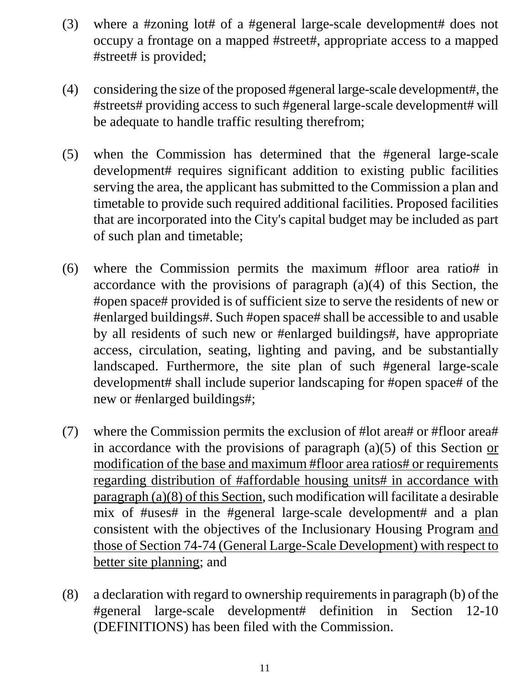- (3) where a #zoning lot# of a #general large-scale development# does not occupy a frontage on a mapped #street#, appropriate access to a mapped #street# is provided;
- (4) considering the size of the proposed #general large-scale development#, the #streets# providing access to such #general large-scale development# will be adequate to handle traffic resulting therefrom;
- (5) when the Commission has determined that the #general large-scale development# requires significant addition to existing public facilities serving the area, the applicant has submitted to the Commission a plan and timetable to provide such required additional facilities. Proposed facilities that are incorporated into the City's capital budget may be included as part of such plan and timetable;
- (6) where the Commission permits the maximum #floor area ratio# in accordance with the provisions of paragraph (a)(4) of this Section, the #open space# provided is of sufficient size to serve the residents of new or #enlarged buildings#. Such #open space# shall be accessible to and usable by all residents of such new or #enlarged buildings#, have appropriate access, circulation, seating, lighting and paving, and be substantially landscaped. Furthermore, the site plan of such #general large-scale development# shall include superior landscaping for #open space# of the new or #enlarged buildings#;
- (7) where the Commission permits the exclusion of #lot area# or #floor area# in accordance with the provisions of paragraph (a)(5) of this Section or modification of the base and maximum #floor area ratios# or requirements regarding distribution of #affordable housing units# in accordance with paragraph (a)(8) of this Section, such modification will facilitate a desirable mix of #uses# in the #general large-scale development# and a plan consistent with the objectives of the Inclusionary Housing Program and those of Section 74-74 (General Large-Scale Development) with respect to better site planning; and
- (8) a declaration with regard to ownership requirements in paragraph (b) of the #general large-scale development# definition in Section 12-10 (DEFINITIONS) has been filed with the Commission.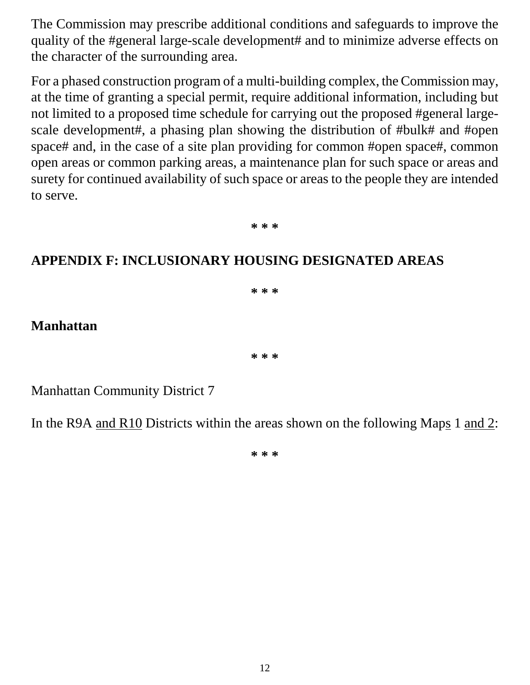The Commission may prescribe additional conditions and safeguards to improve the quality of the #general large-scale development# and to minimize adverse effects on the character of the surrounding area.

For a phased construction program of a multi-building complex, the Commission may, at the time of granting a special permit, require additional information, including but not limited to a proposed time schedule for carrying out the proposed #general largescale development#, a phasing plan showing the distribution of #bulk# and #open space# and, in the case of a site plan providing for common #open space#, common open areas or common parking areas, a maintenance plan for such space or areas and surety for continued availability of such space or areas to the people they are intended to serve.

**\* \* \***

# **APPENDIX F: INCLUSIONARY HOUSING DESIGNATED AREAS**

**\* \* \***

### **Manhattan**

**\* \* \***

Manhattan Community District 7

In the R9A and R10 Districts within the areas shown on the following Maps 1 and 2:

**\* \* \***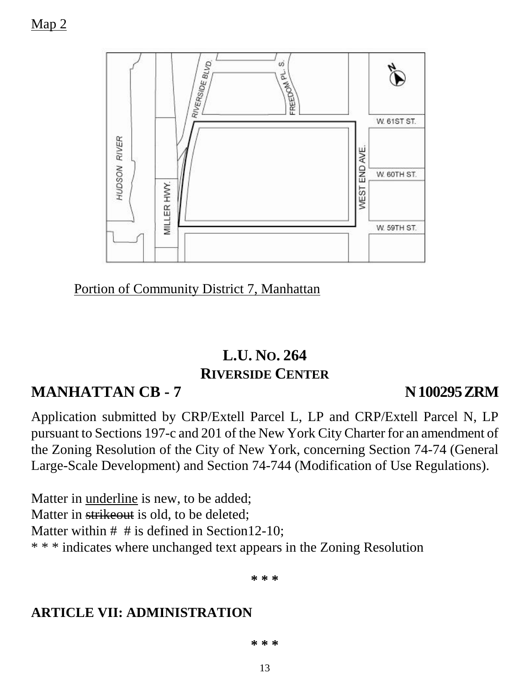Map 2



Portion of Community District 7, Manhattan

# **L.U. NO. 264 RIVERSIDE CENTER**

# **MANHATTAN CB - 7 N100295ZRM**

Application submitted by CRP/Extell Parcel L, LP and CRP/Extell Parcel N, LP pursuant to Sections 197-c and 201 of the New York City Charter for an amendment of the Zoning Resolution of the City of New York, concerning Section 74-74 (General Large-Scale Development) and Section 74-744 (Modification of Use Regulations).

Matter in underline is new, to be added; Matter in strikeout is old, to be deleted; Matter within  $#$  # is defined in Section12-10; \* \* \* indicates where unchanged text appears in the Zoning Resolution

**\* \* \***

# **ARTICLE VII: ADMINISTRATION**

**\* \* \***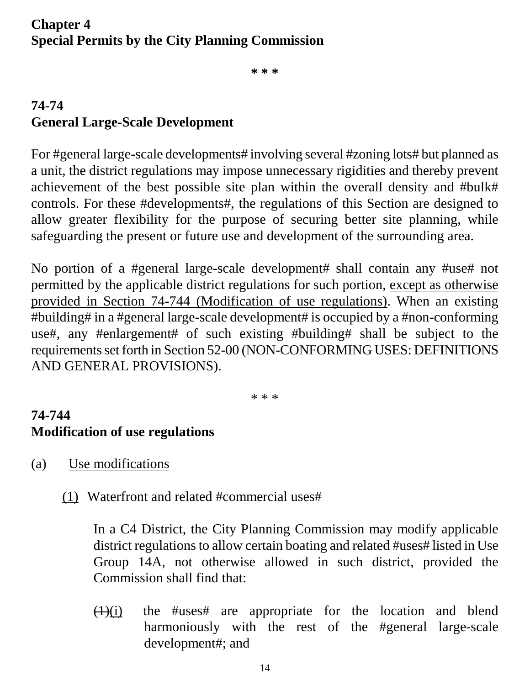# **Chapter 4 Special Permits by the City Planning Commission**

**\* \* \***

# **74-74 General Large-Scale Development**

For #general large-scale developments# involving several #zoning lots# but planned as a unit, the district regulations may impose unnecessary rigidities and thereby prevent achievement of the best possible site plan within the overall density and #bulk# controls. For these #developments#, the regulations of this Section are designed to allow greater flexibility for the purpose of securing better site planning, while safeguarding the present or future use and development of the surrounding area.

No portion of a #general large-scale development# shall contain any #use# not permitted by the applicable district regulations for such portion, except as otherwise provided in Section 74-744 (Modification of use regulations). When an existing #building# in a #general large-scale development# is occupied by a #non-conforming use#, any #enlargement# of such existing #building# shall be subject to the requirements set forth in Section 52-00 (NON-CONFORMING USES: DEFINITIONS AND GENERAL PROVISIONS).

\* \* \*

# **74-744 Modification of use regulations**

- (a) Use modifications
	- (1) Waterfront and related #commercial uses#

In a C4 District, the City Planning Commission may modify applicable district regulations to allow certain boating and related #uses# listed in Use Group 14A, not otherwise allowed in such district, provided the Commission shall find that:

 $(1)(i)$  the #uses# are appropriate for the location and blend harmoniously with the rest of the #general large-scale development#; and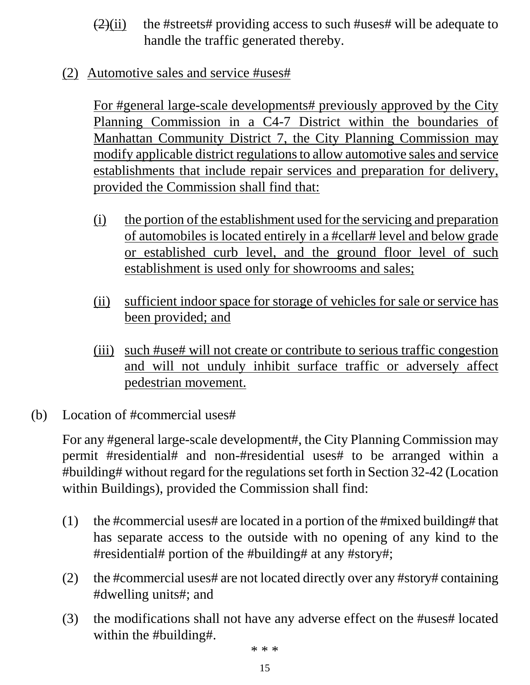- $(2)(ii)$  the #streets# providing access to such #uses# will be adequate to handle the traffic generated thereby.
- (2) Automotive sales and service #uses#

For #general large-scale developments# previously approved by the City Planning Commission in a C4-7 District within the boundaries of Manhattan Community District 7, the City Planning Commission may modify applicable district regulations to allow automotive sales and service establishments that include repair services and preparation for delivery, provided the Commission shall find that:

- (i) the portion of the establishment used for the servicing and preparation of automobiles is located entirely in a #cellar# level and below grade or established curb level, and the ground floor level of such establishment is used only for showrooms and sales;
- (ii) sufficient indoor space for storage of vehicles for sale or service has been provided; and
- (iii) such #use# will not create or contribute to serious traffic congestion and will not unduly inhibit surface traffic or adversely affect pedestrian movement.
- (b) Location of #commercial uses#

For any #general large-scale development#, the City Planning Commission may permit #residential# and non-#residential uses# to be arranged within a #building# without regard for the regulations set forth in Section 32-42 (Location within Buildings), provided the Commission shall find:

- (1) the #commercial uses# are located in a portion of the #mixed building# that has separate access to the outside with no opening of any kind to the #residential# portion of the #building# at any #story#;
- (2) the #commercial uses# are not located directly over any #story# containing #dwelling units#; and
- (3) the modifications shall not have any adverse effect on the #uses# located within the #building#.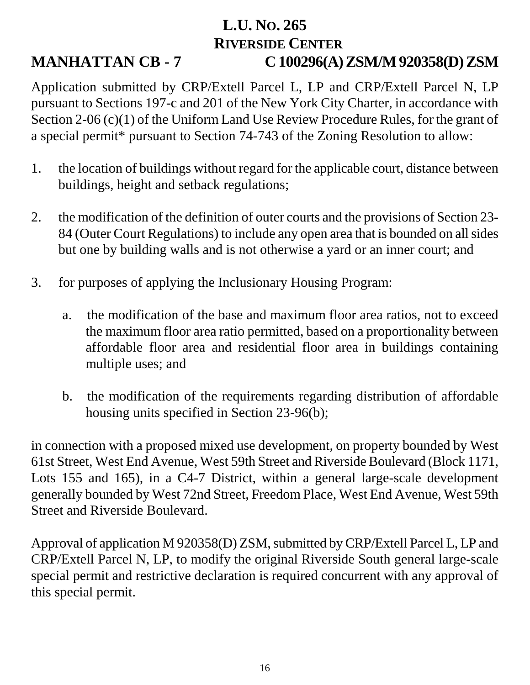# **L.U. NO. 265 RIVERSIDE CENTER MANHATTAN CB - 7 C 100296(A) ZSM/M 920358(D) ZSM**

Application submitted by CRP/Extell Parcel L, LP and CRP/Extell Parcel N, LP pursuant to Sections 197-c and 201 of the New York City Charter, in accordance with Section 2-06 (c)(1) of the Uniform Land Use Review Procedure Rules, for the grant of a special permit\* pursuant to Section 74-743 of the Zoning Resolution to allow:

- 1. the location of buildings without regard for the applicable court, distance between buildings, height and setback regulations;
- 2. the modification of the definition of outer courts and the provisions of Section 23- 84 (Outer Court Regulations) to include any open area that is bounded on all sides but one by building walls and is not otherwise a yard or an inner court; and
- 3. for purposes of applying the Inclusionary Housing Program:
	- a. the modification of the base and maximum floor area ratios, not to exceed the maximum floor area ratio permitted, based on a proportionality between affordable floor area and residential floor area in buildings containing multiple uses; and
	- b. the modification of the requirements regarding distribution of affordable housing units specified in Section 23-96(b);

in connection with a proposed mixed use development, on property bounded by West 61st Street, West End Avenue, West 59th Street and Riverside Boulevard (Block 1171, Lots 155 and 165), in a C4-7 District, within a general large-scale development generally bounded by West 72nd Street, Freedom Place, West End Avenue, West 59th Street and Riverside Boulevard.

Approval of application M 920358(D) ZSM, submitted by CRP/Extell Parcel L, LP and CRP/Extell Parcel N, LP, to modify the original Riverside South general large-scale special permit and restrictive declaration is required concurrent with any approval of this special permit.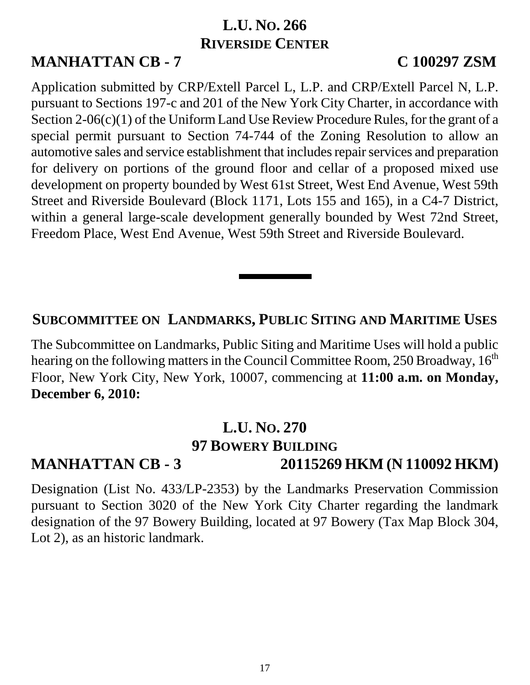# **L.U. NO. 266 RIVERSIDE CENTER**

# **MANHATTAN CB - 7 C 100297 ZSM**

Application submitted by CRP/Extell Parcel L, L.P. and CRP/Extell Parcel N, L.P. pursuant to Sections 197-c and 201 of the New York City Charter, in accordance with Section 2-06(c)(1) of the Uniform Land Use Review Procedure Rules, for the grant of a special permit pursuant to Section 74-744 of the Zoning Resolution to allow an automotive sales and service establishment that includes repair services and preparation for delivery on portions of the ground floor and cellar of a proposed mixed use development on property bounded by West 61st Street, West End Avenue, West 59th Street and Riverside Boulevard (Block 1171, Lots 155 and 165), in a C4-7 District, within a general large-scale development generally bounded by West 72nd Street, Freedom Place, West End Avenue, West 59th Street and Riverside Boulevard.

### **SUBCOMMITTEE ON LANDMARKS, PUBLIC SITING AND MARITIME USES**

The Subcommittee on Landmarks, Public Siting and Maritime Uses will hold a public hearing on the following matters in the Council Committee Room, 250 Broadway,  $16<sup>th</sup>$ Floor, New York City, New York, 10007, commencing at **11:00 a.m. on Monday, December 6, 2010:**

# **L.U. NO. 270**

# **97 BOWERY BUILDING**

# **MANHATTAN CB - 3 20115269 HKM (N 110092 HKM)**

Designation (List No. 433/LP-2353) by the Landmarks Preservation Commission pursuant to Section 3020 of the New York City Charter regarding the landmark designation of the 97 Bowery Building, located at 97 Bowery (Tax Map Block 304, Lot 2), as an historic landmark.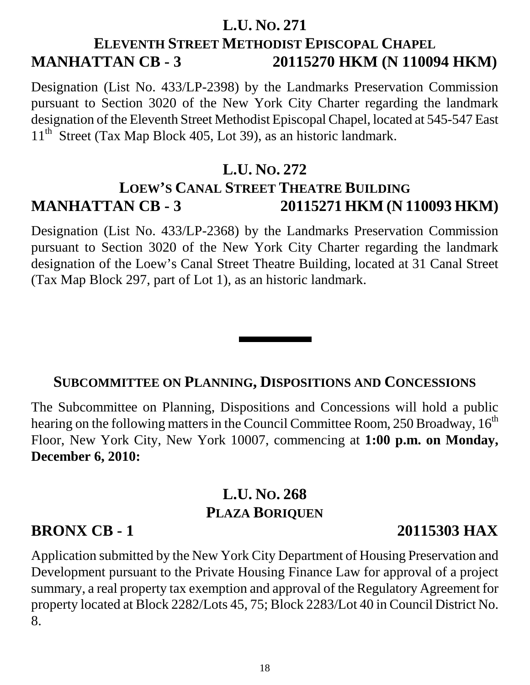# **L.U. NO. 271 ELEVENTH STREET METHODIST EPISCOPAL CHAPEL MANHATTAN CB - 3 20115270 HKM (N 110094 HKM)**

Designation (List No. 433/LP-2398) by the Landmarks Preservation Commission pursuant to Section 3020 of the New York City Charter regarding the landmark designation of the Eleventh Street Methodist Episcopal Chapel, located at 545-547 East  $11<sup>th</sup>$  Street (Tax Map Block 405, Lot 39), as an historic landmark.

# **L.U. NO. 272 LOEW'S CANAL STREET THEATRE BUILDING MANHATTAN CB - 3 20115271 HKM (N 110093 HKM)**

Designation (List No. 433/LP-2368) by the Landmarks Preservation Commission pursuant to Section 3020 of the New York City Charter regarding the landmark designation of the Loew's Canal Street Theatre Building, located at 31 Canal Street (Tax Map Block 297, part of Lot 1), as an historic landmark.

### **SUBCOMMITTEE ON PLANNING, DISPOSITIONS AND CONCESSIONS**

The Subcommittee on Planning, Dispositions and Concessions will hold a public hearing on the following matters in the Council Committee Room, 250 Broadway, 16<sup>th</sup> Floor, New York City, New York 10007, commencing at **1:00 p.m. on Monday, December 6, 2010:**

# **L.U. NO. 268 PLAZA BORIQUEN**

### **BRONX CB - 1 20115303 HAX**

Application submitted by the New York City Department of Housing Preservation and Development pursuant to the Private Housing Finance Law for approval of a project summary, a real property tax exemption and approval of the Regulatory Agreement for property located at Block 2282/Lots 45, 75; Block 2283/Lot 40 in Council District No. 8.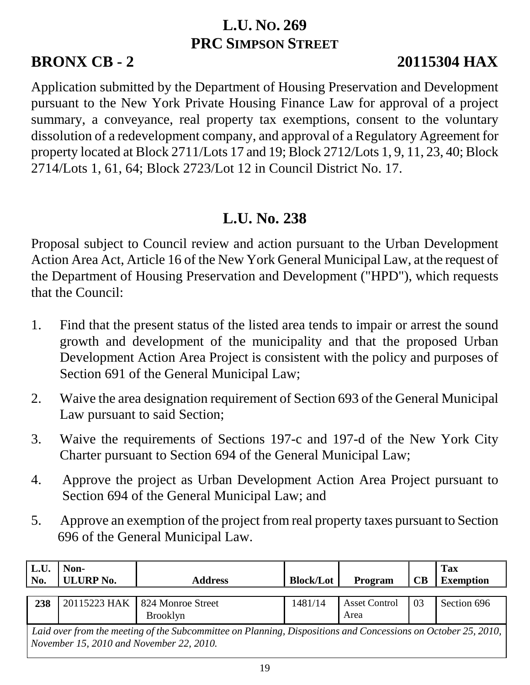# **L.U. NO. 269 PRC SIMPSON STREET**

# **BRONX CB - 2 20115304 HAX**

Application submitted by the Department of Housing Preservation and Development pursuant to the New York Private Housing Finance Law for approval of a project summary, a conveyance, real property tax exemptions, consent to the voluntary dissolution of a redevelopment company, and approval of a Regulatory Agreement for property located at Block 2711/Lots 17 and 19; Block 2712/Lots 1, 9, 11, 23, 40; Block 2714/Lots 1, 61, 64; Block 2723/Lot 12 in Council District No. 17.

# **L.U. No. 238**

Proposal subject to Council review and action pursuant to the Urban Development Action Area Act, Article 16 of the New York General Municipal Law, at the request of the Department of Housing Preservation and Development ("HPD"), which requests that the Council:

- 1. Find that the present status of the listed area tends to impair or arrest the sound growth and development of the municipality and that the proposed Urban Development Action Area Project is consistent with the policy and purposes of Section 691 of the General Municipal Law;
- 2. Waive the area designation requirement of Section 693 of the General Municipal Law pursuant to said Section;
- 3. Waive the requirements of Sections 197-c and 197-d of the New York City Charter pursuant to Section 694 of the General Municipal Law;
- 4. Approve the project as Urban Development Action Area Project pursuant to Section 694 of the General Municipal Law; and
- 5. Approve an exemption of the project from real property taxes pursuant to Section 696 of the General Municipal Law.

| L.U.                                                                                                          | Non-             |                   |                  |                      |           | Tax              |  |  |
|---------------------------------------------------------------------------------------------------------------|------------------|-------------------|------------------|----------------------|-----------|------------------|--|--|
| No.                                                                                                           | <b>ULURP No.</b> | <b>Address</b>    | <b>Block/Lot</b> | Program              | <b>CB</b> | <b>Exemption</b> |  |  |
|                                                                                                               |                  |                   |                  |                      |           |                  |  |  |
| 238                                                                                                           | 20115223 HAK     | 824 Monroe Street | 1481/14          | <b>Asset Control</b> | 03        | Section 696      |  |  |
|                                                                                                               |                  | <b>Brooklyn</b>   |                  | Area                 |           |                  |  |  |
| Laid over from the meeting of the Subcommittee on Planning, Dispositions and Concessions on October 25, 2010, |                  |                   |                  |                      |           |                  |  |  |
| November 15, 2010 and November 22, 2010.                                                                      |                  |                   |                  |                      |           |                  |  |  |